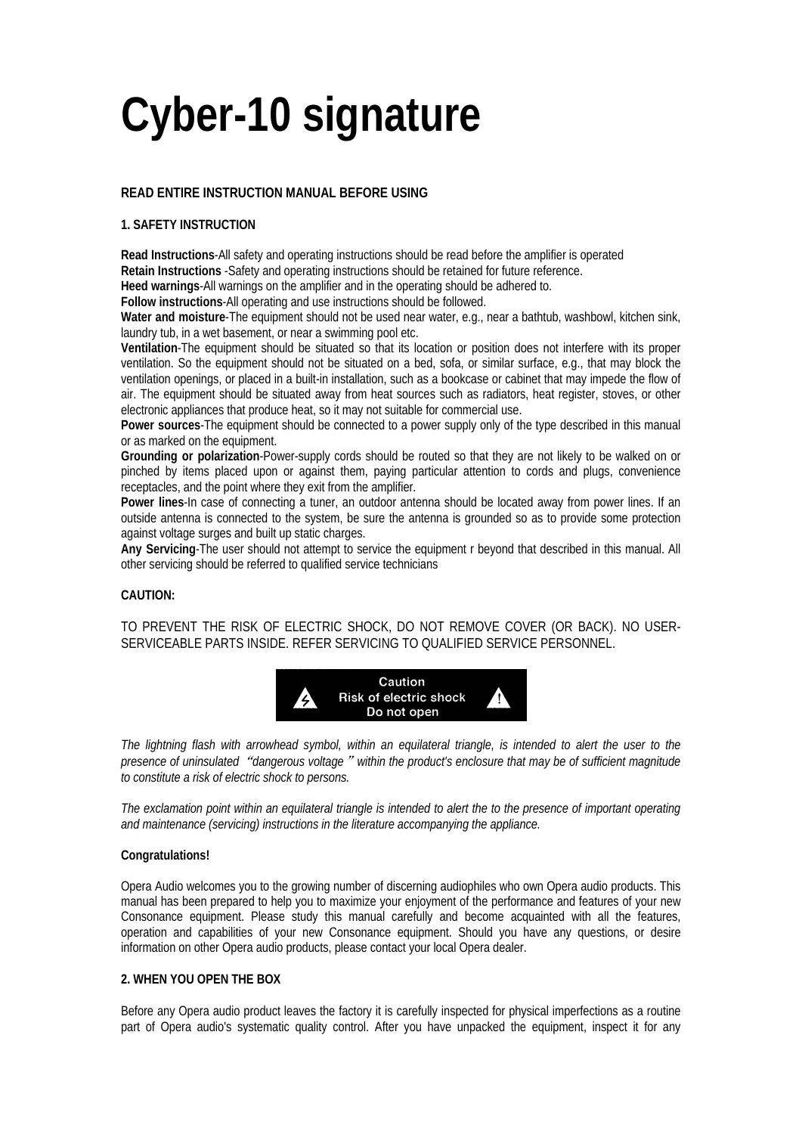# **Cyber-10 signature**

# **READ ENTIRE INSTRUCTION MANUAL BEFORE USING**

# **1. SAFETY INSTRUCTION**

**Read Instructions**-All safety and operating instructions should be read before the amplifier is operated **Retain Instructions** -Safety and operating instructions should be retained for future reference. **Heed warnings**-All warnings on the amplifier and in the operating should be adhered to.

**Follow instructions**-All operating and use instructions should be followed.

**Water and moisture**-The equipment should not be used near water, e.g., near a bathtub, washbowl, kitchen sink, laundry tub, in a wet basement, or near a swimming pool etc.

**Ventilation**-The equipment should be situated so that its location or position does not interfere with its proper ventilation. So the equipment should not be situated on a bed, sofa, or similar surface, e.g., that may block the ventilation openings, or placed in a built-in installation, such as a bookcase or cabinet that may impede the flow of air. The equipment should be situated away from heat sources such as radiators, heat register, stoves, or other electronic appliances that produce heat, so it may not suitable for commercial use.

**Power sources**-The equipment should be connected to a power supply only of the type described in this manual or as marked on the equipment.

**Grounding or polarization**-Power-supply cords should be routed so that they are not likely to be walked on or pinched by items placed upon or against them, paying particular attention to cords and plugs, convenience receptacles, and the point where they exit from the amplifier.

**Power lines**-In case of connecting a tuner, an outdoor antenna should be located away from power lines. If an outside antenna is connected to the system, be sure the antenna is grounded so as to provide some protection against voltage surges and built up static charges.

**Any Servicing**-The user should not attempt to service the equipment r beyond that described in this manual. All other servicing should be referred to qualified service technicians

#### **CAUTION:**

TO PREVENT THE RISK OF ELECTRIC SHOCK, DO NOT REMOVE COVER (OR BACK). NO USER-SERVICEABLE PARTS INSIDE. REFER SERVICING TO QUALIFIED SERVICE PERSONNEL.



*The lightning flash with arrowhead symbol, within an equilateral triangle, is intended to alert the user to the presence of uninsulated*"*dangerous voltage*"*within the product's enclosure that may be of sufficient magnitude to constitute a risk of electric shock to persons.* 

*The exclamation point within an equilateral triangle is intended to alert the to the presence of important operating and maintenance (servicing) instructions in the literature accompanying the appliance.* 

#### **Congratulations!**

Opera Audio welcomes you to the growing number of discerning audiophiles who own Opera audio products. This manual has been prepared to help you to maximize your enjoyment of the performance and features of your new Consonance equipment. Please study this manual carefully and become acquainted with all the features, operation and capabilities of your new Consonance equipment. Should you have any questions, or desire information on other Opera audio products, please contact your local Opera dealer.

# **2. WHEN YOU OPEN THE BOX**

Before any Opera audio product leaves the factory it is carefully inspected for physical imperfections as a routine part of Opera audio's systematic quality control. After you have unpacked the equipment, inspect it for any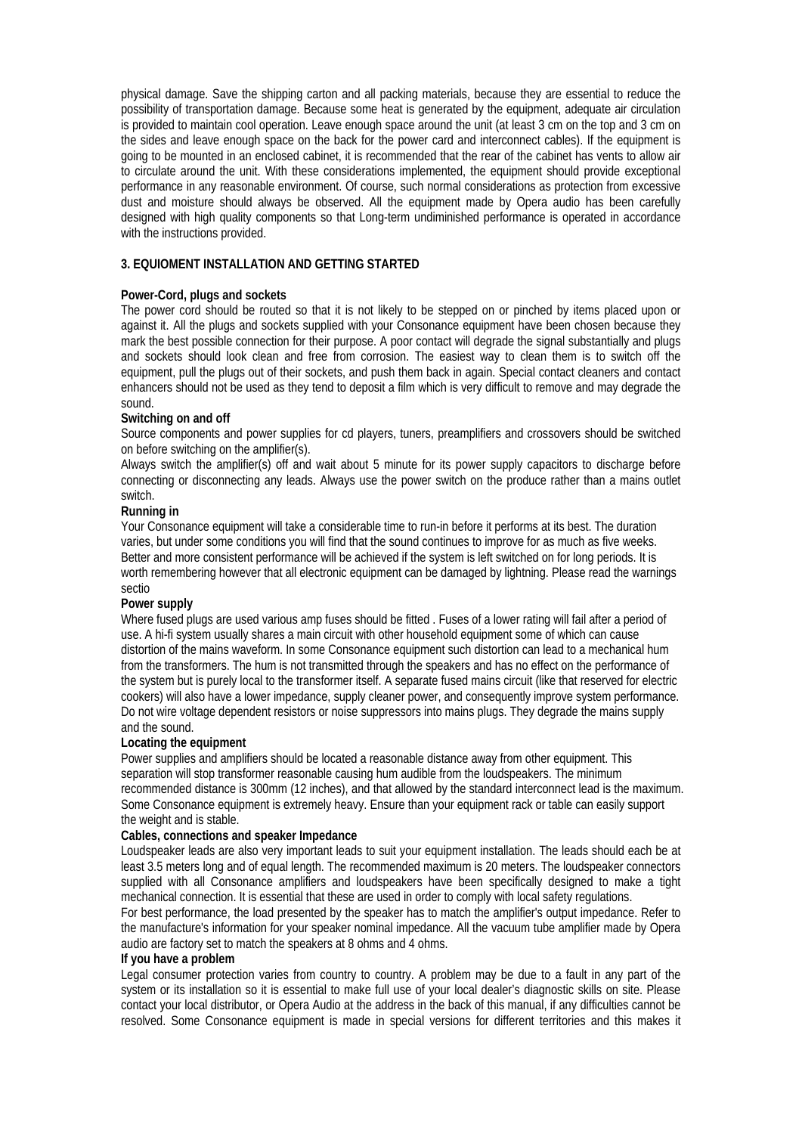physical damage. Save the shipping carton and all packing materials, because they are essential to reduce the possibility of transportation damage. Because some heat is generated by the equipment, adequate air circulation is provided to maintain cool operation. Leave enough space around the unit (at least 3 cm on the top and 3 cm on the sides and leave enough space on the back for the power card and interconnect cables). If the equipment is going to be mounted in an enclosed cabinet, it is recommended that the rear of the cabinet has vents to allow air to circulate around the unit. With these considerations implemented, the equipment should provide exceptional performance in any reasonable environment. Of course, such normal considerations as protection from excessive dust and moisture should always be observed. All the equipment made by Opera audio has been carefully designed with high quality components so that Long-term undiminished performance is operated in accordance with the instructions provided.

# **3. EQUIOMENT INSTALLATION AND GETTING STARTED**

#### **Power-Cord, plugs and sockets**

The power cord should be routed so that it is not likely to be stepped on or pinched by items placed upon or against it. All the plugs and sockets supplied with your Consonance equipment have been chosen because they mark the best possible connection for their purpose. A poor contact will degrade the signal substantially and plugs and sockets should look clean and free from corrosion. The easiest way to clean them is to switch off the equipment, pull the plugs out of their sockets, and push them back in again. Special contact cleaners and contact enhancers should not be used as they tend to deposit a film which is very difficult to remove and may degrade the sound.

#### **Switching on and off**

Source components and power supplies for cd players, tuners, preamplifiers and crossovers should be switched on before switching on the amplifier(s).

Always switch the amplifier(s) off and wait about 5 minute for its power supply capacitors to discharge before connecting or disconnecting any leads. Always use the power switch on the produce rather than a mains outlet switch.

#### **Running in**

Your Consonance equipment will take a considerable time to run-in before it performs at its best. The duration varies, but under some conditions you will find that the sound continues to improve for as much as five weeks. Better and more consistent performance will be achieved if the system is left switched on for long periods. It is worth remembering however that all electronic equipment can be damaged by lightning. Please read the warnings sectio

#### **Power supply**

Where fused plugs are used various amp fuses should be fitted . Fuses of a lower rating will fail after a period of use. A hi-fi system usually shares a main circuit with other household equipment some of which can cause distortion of the mains waveform. In some Consonance equipment such distortion can lead to a mechanical hum from the transformers. The hum is not transmitted through the speakers and has no effect on the performance of the system but is purely local to the transformer itself. A separate fused mains circuit (like that reserved for electric cookers) will also have a lower impedance, supply cleaner power, and consequently improve system performance. Do not wire voltage dependent resistors or noise suppressors into mains plugs. They degrade the mains supply and the sound.

# **Locating the equipment**

Power supplies and amplifiers should be located a reasonable distance away from other equipment. This separation will stop transformer reasonable causing hum audible from the loudspeakers. The minimum recommended distance is 300mm (12 inches), and that allowed by the standard interconnect lead is the maximum. Some Consonance equipment is extremely heavy. Ensure than your equipment rack or table can easily support the weight and is stable.

#### **Cables, connections and speaker Impedance**

Loudspeaker leads are also very important leads to suit your equipment installation. The leads should each be at least 3.5 meters long and of equal length. The recommended maximum is 20 meters. The loudspeaker connectors supplied with all Consonance amplifiers and loudspeakers have been specifically designed to make a tight mechanical connection. It is essential that these are used in order to comply with local safety regulations.

For best performance, the load presented by the speaker has to match the amplifier's output impedance. Refer to the manufacture's information for your speaker nominal impedance. All the vacuum tube amplifier made by Opera audio are factory set to match the speakers at 8 ohms and 4 ohms.

#### **If you have a problem**

Legal consumer protection varies from country to country. A problem may be due to a fault in any part of the system or its installation so it is essential to make full use of your local dealer's diagnostic skills on site. Please contact your local distributor, or Opera Audio at the address in the back of this manual, if any difficulties cannot be resolved. Some Consonance equipment is made in special versions for different territories and this makes it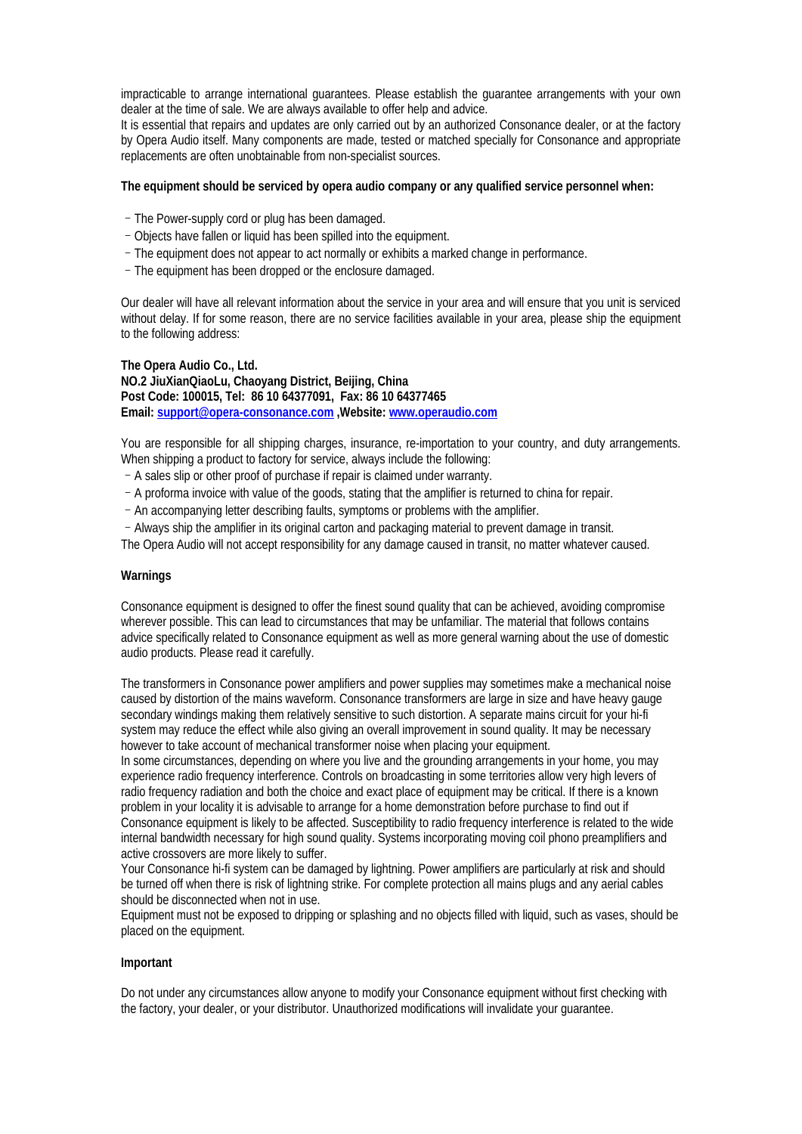impracticable to arrange international guarantees. Please establish the guarantee arrangements with your own dealer at the time of sale. We are always available to offer help and advice.

It is essential that repairs and updates are only carried out by an authorized Consonance dealer, or at the factory by Opera Audio itself. Many components are made, tested or matched specially for Consonance and appropriate replacements are often unobtainable from non-specialist sources.

#### **The equipment should be serviced by opera audio company or any qualified service personnel when:**

- –The Power-supply cord or plug has been damaged.
- –Objects have fallen or liquid has been spilled into the equipment.
- –The equipment does not appear to act normally or exhibits a marked change in performance.
- –The equipment has been dropped or the enclosure damaged.

Our dealer will have all relevant information about the service in your area and will ensure that you unit is serviced without delay. If for some reason, there are no service facilities available in your area, please ship the equipment to the following address:

#### **The Opera Audio Co., Ltd.**

**NO.2 JiuXianQiaoLu, Chaoyang District, Beijing, China Post Code: 100015, Tel: 86 10 64377091, Fax: 86 10 64377465 Email: support@opera-consonance.com ,Website: www.operaudio.com**

You are responsible for all shipping charges, insurance, re-importation to your country, and duty arrangements. When shipping a product to factory for service, always include the following:

- –A sales slip or other proof of purchase if repair is claimed under warranty.
- –A proforma invoice with value of the goods, stating that the amplifier is returned to china for repair.
- –An accompanying letter describing faults, symptoms or problems with the amplifier.
- –Always ship the amplifier in its original carton and packaging material to prevent damage in transit.

The Opera Audio will not accept responsibility for any damage caused in transit, no matter whatever caused.

#### **Warnings**

Consonance equipment is designed to offer the finest sound quality that can be achieved, avoiding compromise wherever possible. This can lead to circumstances that may be unfamiliar. The material that follows contains advice specifically related to Consonance equipment as well as more general warning about the use of domestic audio products. Please read it carefully.

The transformers in Consonance power amplifiers and power supplies may sometimes make a mechanical noise caused by distortion of the mains waveform. Consonance transformers are large in size and have heavy gauge secondary windings making them relatively sensitive to such distortion. A separate mains circuit for your hi-fi system may reduce the effect while also giving an overall improvement in sound quality. It may be necessary however to take account of mechanical transformer noise when placing your equipment.

In some circumstances, depending on where you live and the grounding arrangements in your home, you may experience radio frequency interference. Controls on broadcasting in some territories allow very high levers of radio frequency radiation and both the choice and exact place of equipment may be critical. If there is a known problem in your locality it is advisable to arrange for a home demonstration before purchase to find out if Consonance equipment is likely to be affected. Susceptibility to radio frequency interference is related to the wide internal bandwidth necessary for high sound quality. Systems incorporating moving coil phono preamplifiers and active crossovers are more likely to suffer.

Your Consonance hi-fi system can be damaged by lightning. Power amplifiers are particularly at risk and should be turned off when there is risk of lightning strike. For complete protection all mains plugs and any aerial cables should be disconnected when not in use.

Equipment must not be exposed to dripping or splashing and no objects filled with liquid, such as vases, should be placed on the equipment.

#### **Important**

Do not under any circumstances allow anyone to modify your Consonance equipment without first checking with the factory, your dealer, or your distributor. Unauthorized modifications will invalidate your guarantee.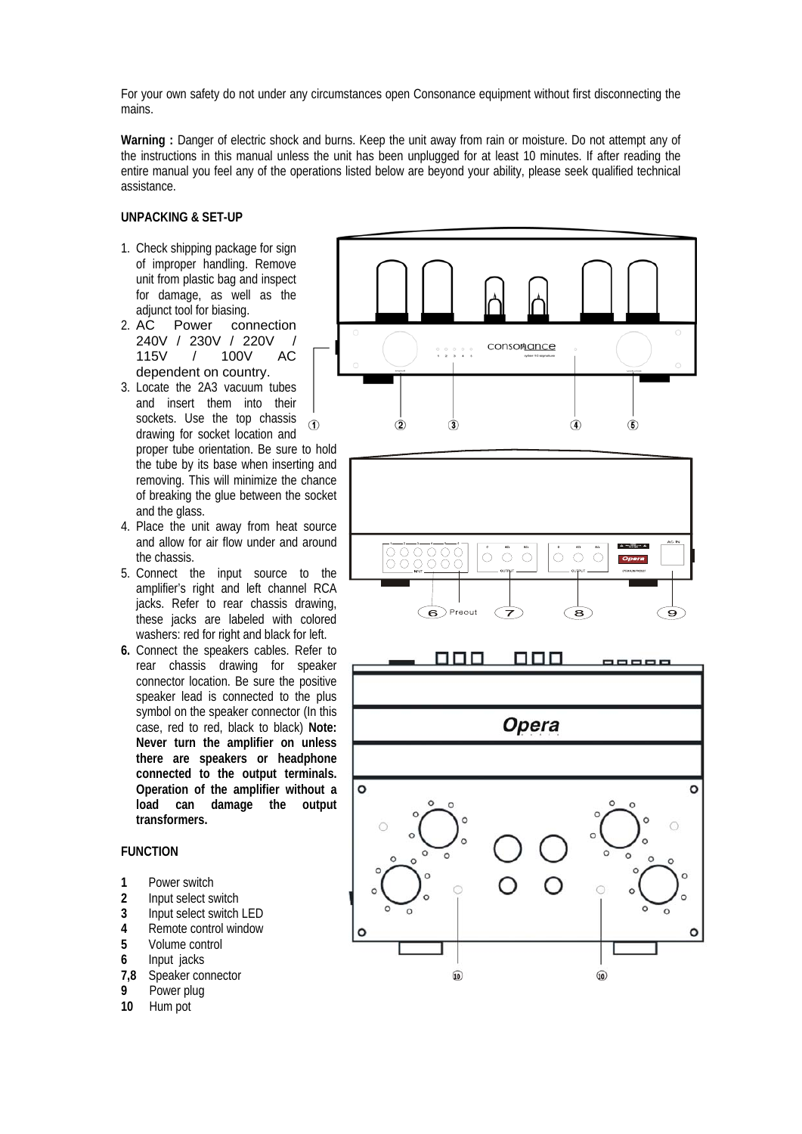For your own safety do not under any circumstances open Consonance equipment without first disconnecting the mains.

Warning : Danger of electric shock and burns. Keep the unit away from rain or moisture. Do not attempt any of the instructions in this manual unless the unit has been unplugged for at least 10 minutes. If after reading the entire manual you feel any of the operations listed below are beyond your ability, please seek qualified technical assistance.

#### **UNPACKING & SET-UP**

- 1. Check shipping package for sign of improper handling. Remove unit from plastic bag and inspect for damage, as well as the adiunct tool for biasing.
- 2. AC Power connection 240V / 230V / 220V / 115V / 100V AC dependent on country.
- 3. Locate the 2A3 vacuum tubes and insert them into their sockets. Use the top chassis  $\bigcirc$ drawing for socket location and
- proper tube orientation. Be sure to hold the tube by its base when inserting and removing. This will minimize the chance of breaking the glue between the socket and the glass.
- 4. Place the unit away from heat source and allow for air flow under and around the chassis.
- 5. Connect the input source to the amplifier's right and left channel RCA jacks. Refer to rear chassis drawing, these jacks are labeled with colored washers: red for right and black for left.
- **6.** Connect the speakers cables. Refer to rear chassis drawing for speaker connector location. Be sure the positive speaker lead is connected to the plus symbol on the speaker connector (In this case, red to red, black to black) **Note: Never turn the amplifier on unless there are speakers or headphone connected to the output terminals. Operation of the amplifier without a load can damage the output transformers.**

# **FUNCTION**

- 1 **Power switch**<br>2 **Input select sy**
- **2** Input select switch
- **3** Input select switch LED
- **4** Remote control window
- **5** Volume control
- **6** Input jacks
- **7,8** Speaker connector
- **9** Power plug
- **10** Hum pot

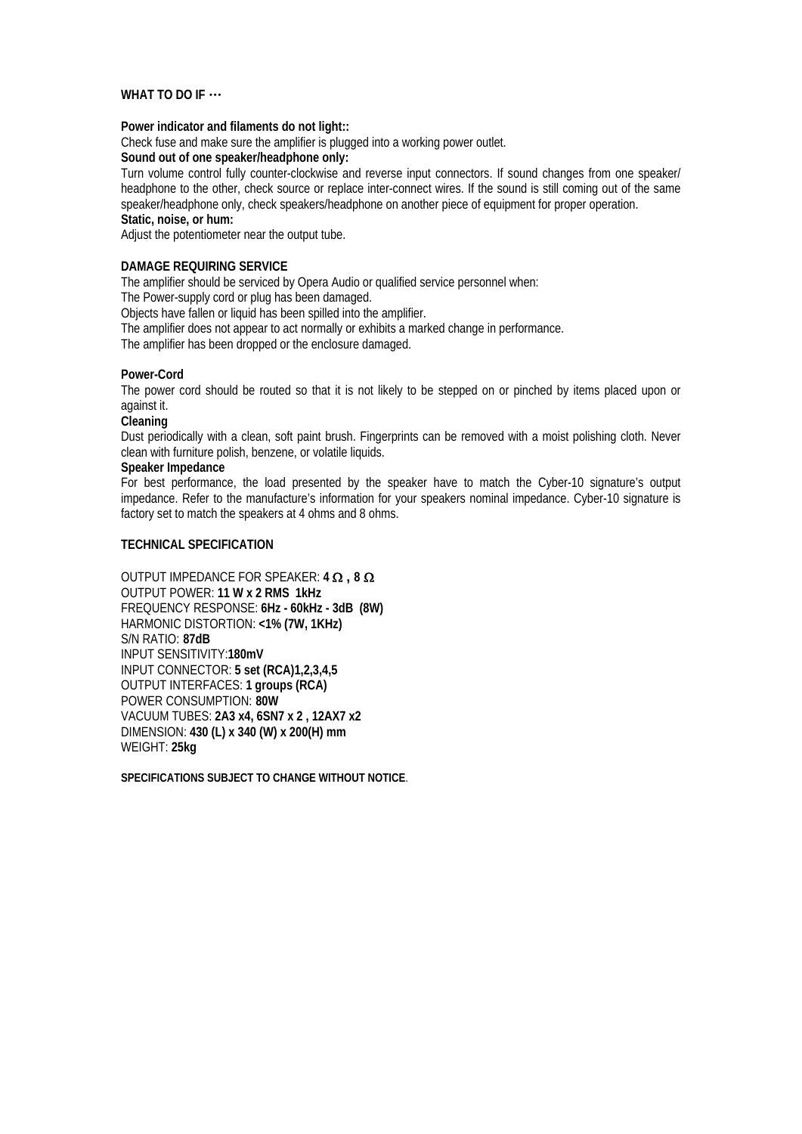#### **WHAT TO DO IF** …

#### **Power indicator and filaments do not light::**

Check fuse and make sure the amplifier is plugged into a working power outlet.

**Sound out of one speaker/headphone only:**

Turn volume control fully counter-clockwise and reverse input connectors. If sound changes from one speaker/ headphone to the other, check source or replace inter-connect wires. If the sound is still coming out of the same speaker/headphone only, check speakers/headphone on another piece of equipment for proper operation.

**Static, noise, or hum:** 

Adjust the potentiometer near the output tube.

#### **DAMAGE REQUIRING SERVICE**

The amplifier should be serviced by Opera Audio or qualified service personnel when:

The Power-supply cord or plug has been damaged.

Objects have fallen or liquid has been spilled into the amplifier.

The amplifier does not appear to act normally or exhibits a marked change in performance.

The amplifier has been dropped or the enclosure damaged.

#### **Power-Cord**

The power cord should be routed so that it is not likely to be stepped on or pinched by items placed upon or against it.

**Cleaning** 

Dust periodically with a clean, soft paint brush. Fingerprints can be removed with a moist polishing cloth. Never clean with furniture polish, benzene, or volatile liquids.

#### **Speaker Impedance**

For best performance, the load presented by the speaker have to match the Cyber-10 signature's output impedance. Refer to the manufacture's information for your speakers nominal impedance. Cyber-10 signature is factory set to match the speakers at 4 ohms and 8 ohms.

#### **TECHNICAL SPECIFICATION**

OUTPUT IMPEDANCE FOR SPEAKER: **4** Ω **, 8** Ω OUTPUT POWER: **11 W x 2 RMS 1kHz** FREQUENCY RESPONSE: **6Hz - 60kHz - 3dB (8W)** HARMONIC DISTORTION: **<1% (7W, 1KHz)** S/N RATIO: **87dB** INPUT SENSITIVITY:**180mV** INPUT CONNECTOR: **5 set (RCA)1,2,3,4,5**  OUTPUT INTERFACES: **1 groups (RCA)**  POWER CONSUMPTION: **80W** VACUUM TUBES: **2A3 x4, 6SN7 x 2 , 12AX7 x2** DIMENSION: **430 (L) x 340 (W) x 200(H) mm** WEIGHT: **25kg**

**SPECIFICATIONS SUBJECT TO CHANGE WITHOUT NOTICE**.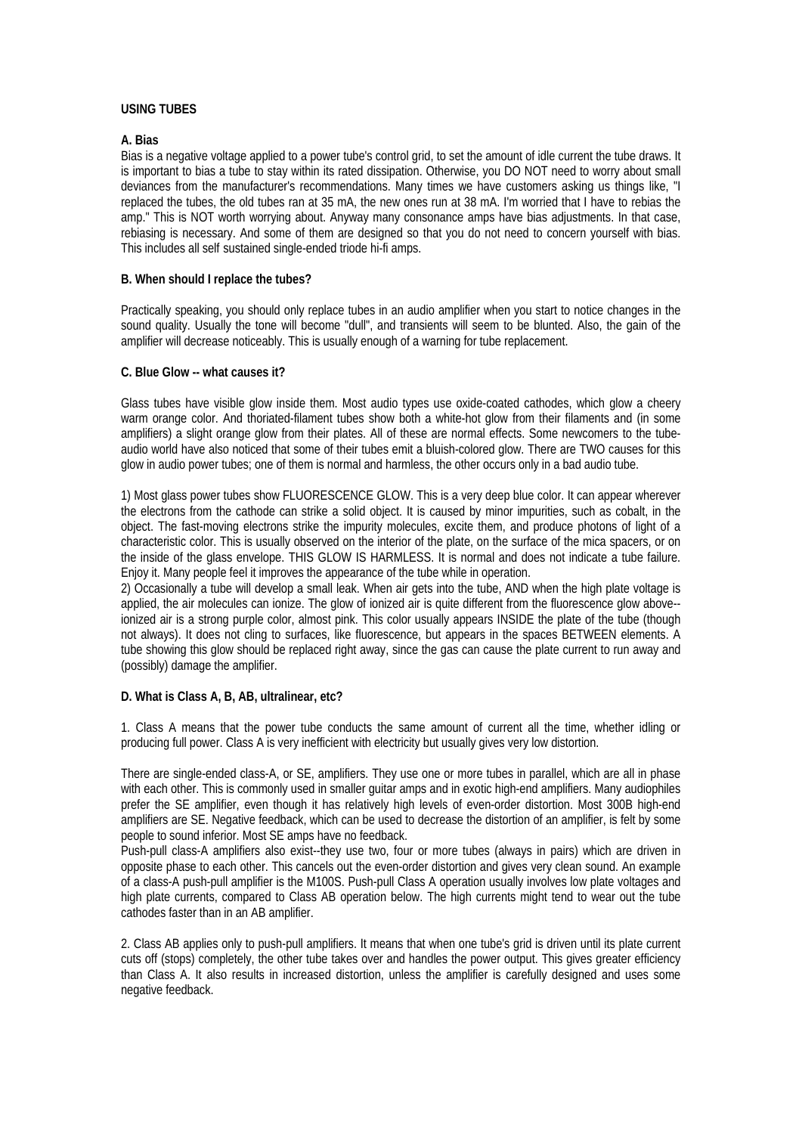#### **USING TUBES**

### **A. Bias**

Bias is a negative voltage applied to a power tube's control grid, to set the amount of idle current the tube draws. It is important to bias a tube to stay within its rated dissipation. Otherwise, you DO NOT need to worry about small deviances from the manufacturer's recommendations. Many times we have customers asking us things like, "I replaced the tubes, the old tubes ran at 35 mA, the new ones run at 38 mA. I'm worried that I have to rebias the amp." This is NOT worth worrying about. Anyway many consonance amps have bias adjustments. In that case, rebiasing is necessary. And some of them are designed so that you do not need to concern yourself with bias. This includes all self sustained single-ended triode hi-fi amps.

#### **B. When should I replace the tubes?**

Practically speaking, you should only replace tubes in an audio amplifier when you start to notice changes in the sound quality. Usually the tone will become "dull", and transients will seem to be blunted. Also, the gain of the amplifier will decrease noticeably. This is usually enough of a warning for tube replacement.

#### **C. Blue Glow -- what causes it?**

Glass tubes have visible glow inside them. Most audio types use oxide-coated cathodes, which glow a cheery warm orange color. And thoriated-filament tubes show both a white-hot glow from their filaments and (in some amplifiers) a slight orange glow from their plates. All of these are normal effects. Some newcomers to the tubeaudio world have also noticed that some of their tubes emit a bluish-colored glow. There are TWO causes for this glow in audio power tubes; one of them is normal and harmless, the other occurs only in a bad audio tube.

1) Most glass power tubes show FLUORESCENCE GLOW. This is a very deep blue color. It can appear wherever the electrons from the cathode can strike a solid object. It is caused by minor impurities, such as cobalt, in the object. The fast-moving electrons strike the impurity molecules, excite them, and produce photons of light of a characteristic color. This is usually observed on the interior of the plate, on the surface of the mica spacers, or on the inside of the glass envelope. THIS GLOW IS HARMLESS. It is normal and does not indicate a tube failure. Enjoy it. Many people feel it improves the appearance of the tube while in operation.

2) Occasionally a tube will develop a small leak. When air gets into the tube, AND when the high plate voltage is applied, the air molecules can ionize. The glow of ionized air is quite different from the fluorescence glow above- ionized air is a strong purple color, almost pink. This color usually appears INSIDE the plate of the tube (though not always). It does not cling to surfaces, like fluorescence, but appears in the spaces BETWEEN elements. A tube showing this glow should be replaced right away, since the gas can cause the plate current to run away and (possibly) damage the amplifier.

#### **D. What is Class A, B, AB, ultralinear, etc?**

1. Class A means that the power tube conducts the same amount of current all the time, whether idling or producing full power. Class A is very inefficient with electricity but usually gives very low distortion.

There are single-ended class-A, or SE, amplifiers. They use one or more tubes in parallel, which are all in phase with each other. This is commonly used in smaller guitar amps and in exotic high-end amplifiers. Many audiophiles prefer the SE amplifier, even though it has relatively high levels of even-order distortion. Most 300B high-end amplifiers are SE. Negative feedback, which can be used to decrease the distortion of an amplifier, is felt by some people to sound inferior. Most SE amps have no feedback.

Push-pull class-A amplifiers also exist--they use two, four or more tubes (always in pairs) which are driven in opposite phase to each other. This cancels out the even-order distortion and gives very clean sound. An example of a class-A push-pull amplifier is the M100S. Push-pull Class A operation usually involves low plate voltages and high plate currents, compared to Class AB operation below. The high currents might tend to wear out the tube cathodes faster than in an AB amplifier.

2. Class AB applies only to push-pull amplifiers. It means that when one tube's grid is driven until its plate current cuts off (stops) completely, the other tube takes over and handles the power output. This gives greater efficiency than Class A. It also results in increased distortion, unless the amplifier is carefully designed and uses some negative feedback.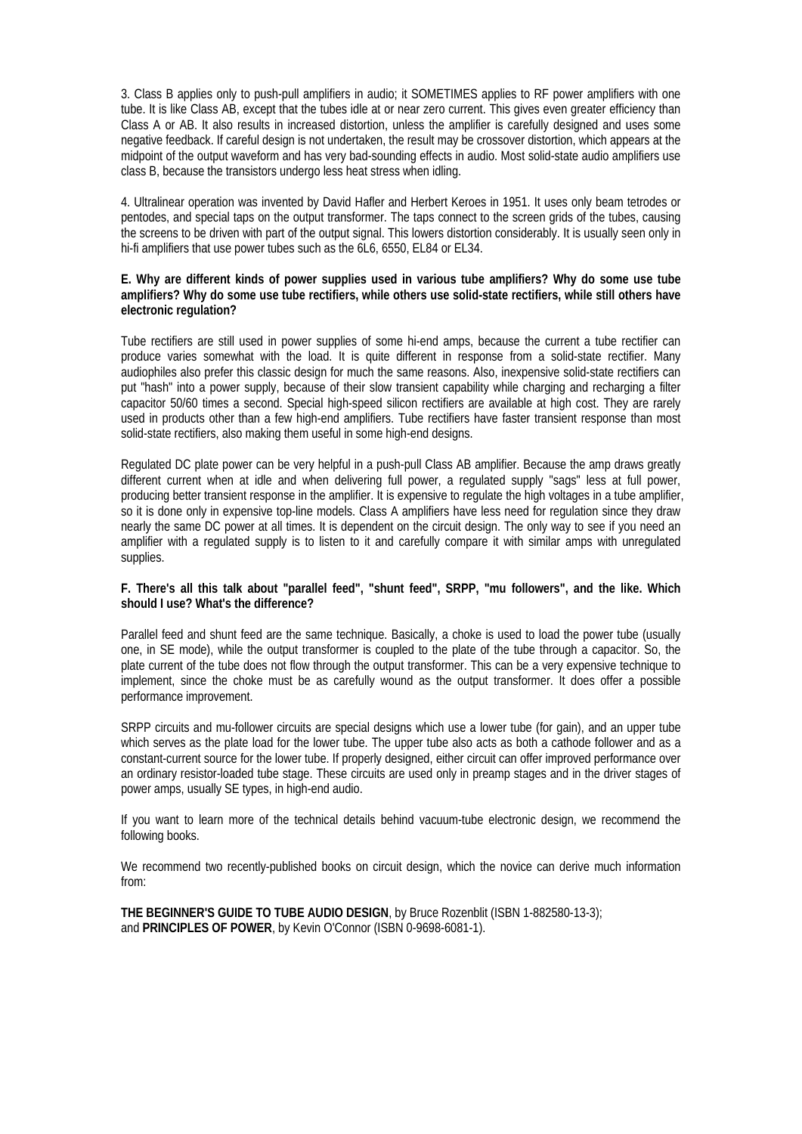3. Class B applies only to push-pull amplifiers in audio; it SOMETIMES applies to RF power amplifiers with one tube. It is like Class AB, except that the tubes idle at or near zero current. This gives even greater efficiency than Class A or AB. It also results in increased distortion, unless the amplifier is carefully designed and uses some negative feedback. If careful design is not undertaken, the result may be crossover distortion, which appears at the midpoint of the output waveform and has very bad-sounding effects in audio. Most solid-state audio amplifiers use class B, because the transistors undergo less heat stress when idling.

4. Ultralinear operation was invented by David Hafler and Herbert Keroes in 1951. It uses only beam tetrodes or pentodes, and special taps on the output transformer. The taps connect to the screen grids of the tubes, causing the screens to be driven with part of the output signal. This lowers distortion considerably. It is usually seen only in hi-fi amplifiers that use power tubes such as the 6L6, 6550, EL84 or EL34.

#### **E. Why are different kinds of power supplies used in various tube amplifiers? Why do some use tube amplifiers? Why do some use tube rectifiers, while others use solid-state rectifiers, while still others have electronic regulation?**

Tube rectifiers are still used in power supplies of some hi-end amps, because the current a tube rectifier can produce varies somewhat with the load. It is quite different in response from a solid-state rectifier. Many audiophiles also prefer this classic design for much the same reasons. Also, inexpensive solid-state rectifiers can put "hash" into a power supply, because of their slow transient capability while charging and recharging a filter capacitor 50/60 times a second. Special high-speed silicon rectifiers are available at high cost. They are rarely used in products other than a few high-end amplifiers. Tube rectifiers have faster transient response than most solid-state rectifiers, also making them useful in some high-end designs.

Regulated DC plate power can be very helpful in a push-pull Class AB amplifier. Because the amp draws greatly different current when at idle and when delivering full power, a regulated supply "sags" less at full power, producing better transient response in the amplifier. It is expensive to regulate the high voltages in a tube amplifier, so it is done only in expensive top-line models. Class A amplifiers have less need for regulation since they draw nearly the same DC power at all times. It is dependent on the circuit design. The only way to see if you need an amplifier with a regulated supply is to listen to it and carefully compare it with similar amps with unregulated supplies.

#### **F. There's all this talk about "parallel feed", "shunt feed", SRPP, "mu followers", and the like. Which should I use? What's the difference?**

Parallel feed and shunt feed are the same technique. Basically, a choke is used to load the power tube (usually one, in SE mode), while the output transformer is coupled to the plate of the tube through a capacitor. So, the plate current of the tube does not flow through the output transformer. This can be a very expensive technique to implement, since the choke must be as carefully wound as the output transformer. It does offer a possible performance improvement.

SRPP circuits and mu-follower circuits are special designs which use a lower tube (for gain), and an upper tube which serves as the plate load for the lower tube. The upper tube also acts as both a cathode follower and as a constant-current source for the lower tube. If properly designed, either circuit can offer improved performance over an ordinary resistor-loaded tube stage. These circuits are used only in preamp stages and in the driver stages of power amps, usually SE types, in high-end audio.

If you want to learn more of the technical details behind vacuum-tube electronic design, we recommend the following books.

We recommend two recently-published books on circuit design, which the novice can derive much information from:

**THE BEGINNER'S GUIDE TO TUBE AUDIO DESIGN**, by Bruce Rozenblit (ISBN 1-882580-13-3); and **PRINCIPLES OF POWER**, by Kevin O'Connor (ISBN 0-9698-6081-1).